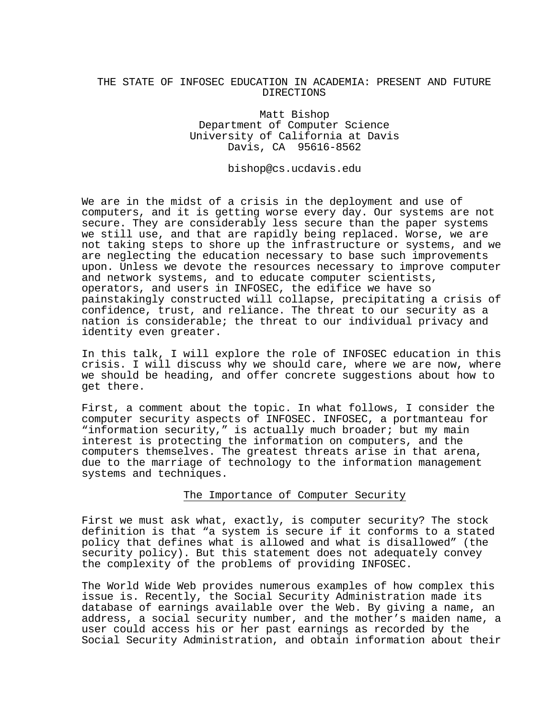## THE STATE OF INFOSEC EDUCATION IN ACADEMIA: PRESENT AND FUTURE DIRECTIONS

Matt Bishop Department of Computer Science University of California at Davis Davis, CA 95616-8562

bishop@cs.ucdavis.edu

We are in the midst of a crisis in the deployment and use of computers, and it is getting worse every day. Our systems are not secure. They are considerably less secure than the paper systems we still use, and that are rapidly being replaced. Worse, we are not taking steps to shore up the infrastructure or systems, and we are neglecting the education necessary to base such improvements upon. Unless we devote the resources necessary to improve computer and network systems, and to educate computer scientists, operators, and users in INFOSEC, the edifice we have so painstakingly constructed will collapse, precipitating a crisis of confidence, trust, and reliance. The threat to our security as a nation is considerable; the threat to our individual privacy and identity even greater.

In this talk, I will explore the role of INFOSEC education in this crisis. I will discuss why we should care, where we are now, where we should be heading, and offer concrete suggestions about how to get there.

First, a comment about the topic. In what follows, I consider the computer security aspects of INFOSEC. INFOSEC, a portmanteau for "information security," is actually much broader; but my main interest is protecting the information on computers, and the computers themselves. The greatest threats arise in that arena, due to the marriage of technology to the information management systems and techniques.

## The Importance of Computer Security

First we must ask what, exactly, is computer security? The stock definition is that "a system is secure if it conforms to a stated policy that defines what is allowed and what is disallowed" (the security policy). But this statement does not adequately convey the complexity of the problems of providing INFOSEC.

The World Wide Web provides numerous examples of how complex this issue is. Recently, the Social Security Administration made its database of earnings available over the Web. By giving a name, an address, a social security number, and the mother's maiden name, a user could access his or her past earnings as recorded by the Social Security Administration, and obtain information about their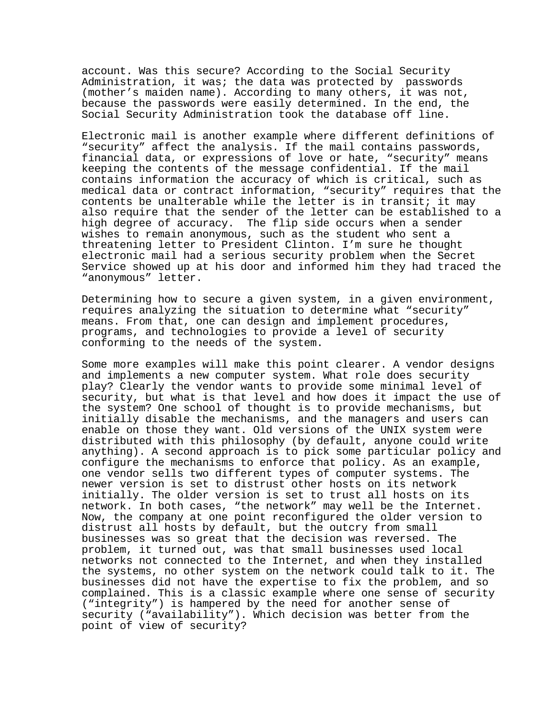account. Was this secure? According to the Social Security Administration, it was; the data was protected by passwords (mother's maiden name). According to many others, it was not, because the passwords were easily determined. In the end, the Social Security Administration took the database off line.

Electronic mail is another example where different definitions of "security" affect the analysis. If the mail contains passwords, financial data, or expressions of love or hate, "security" means keeping the contents of the message confidential. If the mail contains information the accuracy of which is critical, such as medical data or contract information, "security" requires that the contents be unalterable while the letter is in transit; it may also require that the sender of the letter can be established to a high degree of accuracy. The flip side occurs when a sender wishes to remain anonymous, such as the student who sent a threatening letter to President Clinton. I'm sure he thought electronic mail had a serious security problem when the Secret Service showed up at his door and informed him they had traced the "anonymous" letter.

Determining how to secure a given system, in a given environment, requires analyzing the situation to determine what "security" means. From that, one can design and implement procedures, programs, and technologies to provide a level of security conforming to the needs of the system.

Some more examples will make this point clearer. A vendor designs and implements a new computer system. What role does security play? Clearly the vendor wants to provide some minimal level of security, but what is that level and how does it impact the use of the system? One school of thought is to provide mechanisms, but initially disable the mechanisms, and the managers and users can enable on those they want. Old versions of the UNIX system were distributed with this philosophy (by default, anyone could write anything). A second approach is to pick some particular policy and configure the mechanisms to enforce that policy. As an example, one vendor sells two different types of computer systems. The newer version is set to distrust other hosts on its network initially. The older version is set to trust all hosts on its network. In both cases, "the network" may well be the Internet. Now, the company at one point reconfigured the older version to distrust all hosts by default, but the outcry from small businesses was so great that the decision was reversed. The problem, it turned out, was that small businesses used local networks not connected to the Internet, and when they installed the systems, no other system on the network could talk to it. The businesses did not have the expertise to fix the problem, and so complained. This is a classic example where one sense of security ("integrity") is hampered by the need for another sense of security ("availability"). Which decision was better from the point of view of security?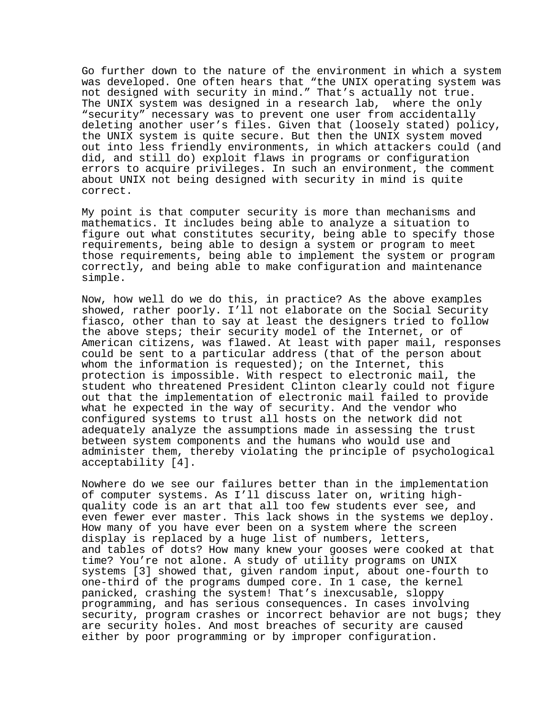Go further down to the nature of the environment in which a system was developed. One often hears that "the UNIX operating system was not designed with security in mind." That's actually not true. The UNIX system was designed in a research lab, where the only "security" necessary was to prevent one user from accidentally deleting another user's files. Given that (loosely stated) policy, the UNIX system is quite secure. But then the UNIX system moved out into less friendly environments, in which attackers could (and did, and still do) exploit flaws in programs or configuration errors to acquire privileges. In such an environment, the comment about UNIX not being designed with security in mind is quite correct.

My point is that computer security is more than mechanisms and mathematics. It includes being able to analyze a situation to figure out what constitutes security, being able to specify those requirements, being able to design a system or program to meet those requirements, being able to implement the system or program correctly, and being able to make configuration and maintenance simple.

Now, how well do we do this, in practice? As the above examples showed, rather poorly. I'll not elaborate on the Social Security fiasco, other than to say at least the designers tried to follow the above steps; their security model of the Internet, or of American citizens, was flawed. At least with paper mail, responses could be sent to a particular address (that of the person about whom the information is requested); on the Internet, this protection is impossible. With respect to electronic mail, the student who threatened President Clinton clearly could not figure out that the implementation of electronic mail failed to provide what he expected in the way of security. And the vendor who configured systems to trust all hosts on the network did not adequately analyze the assumptions made in assessing the trust between system components and the humans who would use and administer them, thereby violating the principle of psychological acceptability [4].

Nowhere do we see our failures better than in the implementation of computer systems. As I'll discuss later on, writing highquality code is an art that all too few students ever see, and even fewer ever master. This lack shows in the systems we deploy. How many of you have ever been on a system where the screen display is replaced by a huge list of numbers, letters, and tables of dots? How many knew your gooses were cooked at that time? You're not alone. A study of utility programs on UNIX systems [3] showed that, given random input, about one-fourth to one-third of the programs dumped core. In 1 case, the kernel panicked, crashing the system! That's inexcusable, sloppy programming, and has serious consequences. In cases involving security, program crashes or incorrect behavior are not bugs; they are security holes. And most breaches of security are caused either by poor programming or by improper configuration.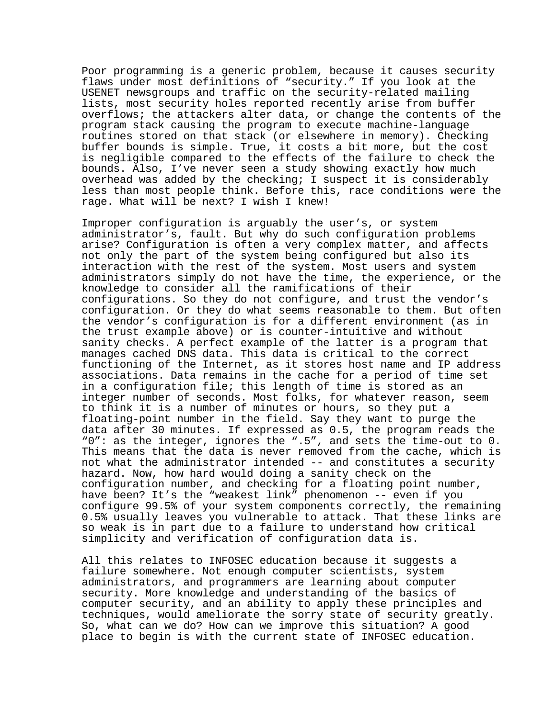Poor programming is a generic problem, because it causes security flaws under most definitions of "security." If you look at the USENET newsgroups and traffic on the security-related mailing lists, most security holes reported recently arise from buffer overflows; the attackers alter data, or change the contents of the program stack causing the program to execute machine-language routines stored on that stack (or elsewhere in memory). Checking buffer bounds is simple. True, it costs a bit more, but the cost is negligible compared to the effects of the failure to check the bounds. Also, I've never seen a study showing exactly how much overhead was added by the checking; I suspect it is considerably less than most people think. Before this, race conditions were the rage. What will be next? I wish I knew!

Improper configuration is arguably the user's, or system administrator's, fault. But why do such configuration problems arise? Configuration is often a very complex matter, and affects not only the part of the system being configured but also its interaction with the rest of the system. Most users and system administrators simply do not have the time, the experience, or the knowledge to consider all the ramifications of their configurations. So they do not configure, and trust the vendor's configuration. Or they do what seems reasonable to them. But often the vendor's configuration is for a different environment (as in the trust example above) or is counter-intuitive and without sanity checks. A perfect example of the latter is a program that manages cached DNS data. This data is critical to the correct functioning of the Internet, as it stores host name and IP address associations. Data remains in the cache for a period of time set in a configuration file; this length of time is stored as an integer number of seconds. Most folks, for whatever reason, seem to think it is a number of minutes or hours, so they put a floating-point number in the field. Say they want to purge the data after 30 minutes. If expressed as 0.5, the program reads the "0": as the integer, ignores the ".5", and sets the time-out to 0. This means that the data is never removed from the cache, which is not what the administrator intended -- and constitutes a security hazard. Now, how hard would doing a sanity check on the configuration number, and checking for a floating point number, have been? It's the "weakest link" phenomenon -- even if you configure 99.5% of your system components correctly, the remaining 0.5% usually leaves you vulnerable to attack. That these links are so weak is in part due to a failure to understand how critical simplicity and verification of configuration data is.

All this relates to INFOSEC education because it suggests a failure somewhere. Not enough computer scientists, system administrators, and programmers are learning about computer security. More knowledge and understanding of the basics of computer security, and an ability to apply these principles and techniques, would ameliorate the sorry state of security greatly. So, what can we do? How can we improve this situation? A good place to begin is with the current state of INFOSEC education.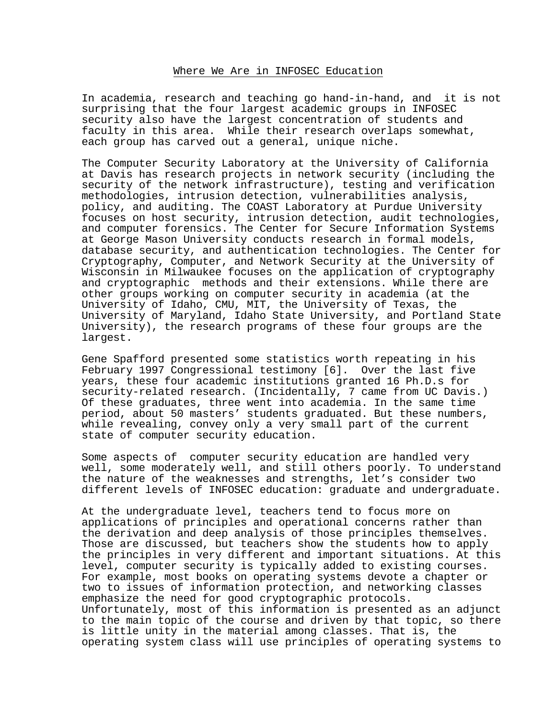## Where We Are in INFOSEC Education

In academia, research and teaching go hand-in-hand, and it is not surprising that the four largest academic groups in INFOSEC security also have the largest concentration of students and faculty in this area. While their research overlaps somewhat, each group has carved out a general, unique niche.

The Computer Security Laboratory at the University of California at Davis has research projects in network security (including the security of the network infrastructure), testing and verification methodologies, intrusion detection, vulnerabilities analysis, policy, and auditing. The COAST Laboratory at Purdue University focuses on host security, intrusion detection, audit technologies, and computer forensics. The Center for Secure Information Systems at George Mason University conducts research in formal models, database security, and authentication technologies. The Center for Cryptography, Computer, and Network Security at the University of Wisconsin in Milwaukee focuses on the application of cryptography and cryptographic methods and their extensions. While there are other groups working on computer security in academia (at the University of Idaho, CMU, MIT, the University of Texas, the University of Maryland, Idaho State University, and Portland State University), the research programs of these four groups are the largest.

Gene Spafford presented some statistics worth repeating in his February 1997 Congressional testimony [6]. Over the last five years, these four academic institutions granted 16 Ph.D.s for security-related research. (Incidentally, 7 came from UC Davis.) Of these graduates, three went into academia. In the same time period, about 50 masters' students graduated. But these numbers, while revealing, convey only a very small part of the current state of computer security education.

Some aspects of computer security education are handled very well, some moderately well, and still others poorly. To understand the nature of the weaknesses and strengths, let's consider two different levels of INFOSEC education: graduate and undergraduate.

At the undergraduate level, teachers tend to focus more on applications of principles and operational concerns rather than the derivation and deep analysis of those principles themselves. Those are discussed, but teachers show the students how to apply the principles in very different and important situations. At this level, computer security is typically added to existing courses. For example, most books on operating systems devote a chapter or two to issues of information protection, and networking classes emphasize the need for good cryptographic protocols. Unfortunately, most of this information is presented as an adjunct to the main topic of the course and driven by that topic, so there is little unity in the material among classes. That is, the operating system class will use principles of operating systems to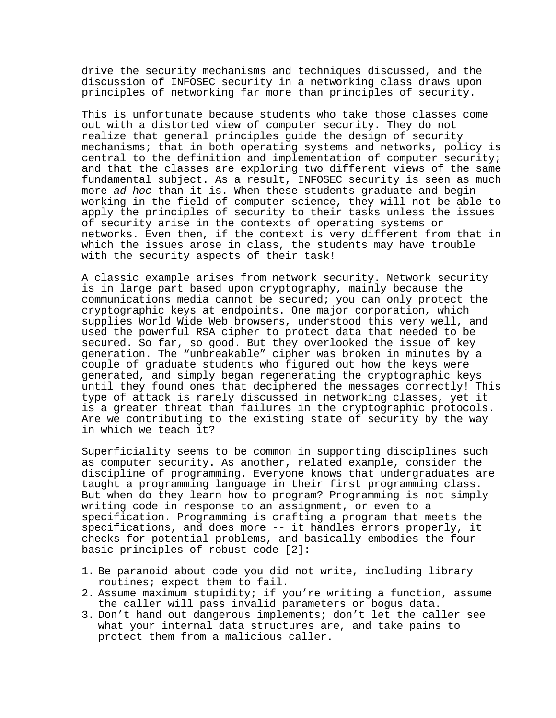drive the security mechanisms and techniques discussed, and the discussion of INFOSEC security in a networking class draws upon principles of networking far more than principles of security.

This is unfortunate because students who take those classes come out with a distorted view of computer security. They do not realize that general principles guide the design of security mechanisms; that in both operating systems and networks, policy is central to the definition and implementation of computer security; and that the classes are exploring two different views of the same fundamental subject. As a result, INFOSEC security is seen as much more ad hoc than it is. When these students graduate and begin working in the field of computer science, they will not be able to apply the principles of security to their tasks unless the issues of security arise in the contexts of operating systems or networks. Even then, if the context is very different from that in which the issues arose in class, the students may have trouble with the security aspects of their task!

A classic example arises from network security. Network security is in large part based upon cryptography, mainly because the communications media cannot be secured; you can only protect the cryptographic keys at endpoints. One major corporation, which supplies World Wide Web browsers, understood this very well, and used the powerful RSA cipher to protect data that needed to be secured. So far, so good. But they overlooked the issue of key generation. The "unbreakable" cipher was broken in minutes by a couple of graduate students who figured out how the keys were generated, and simply began regenerating the cryptographic keys until they found ones that deciphered the messages correctly! This type of attack is rarely discussed in networking classes, yet it is a greater threat than failures in the cryptographic protocols. Are we contributing to the existing state of security by the way in which we teach it?

Superficiality seems to be common in supporting disciplines such as computer security. As another, related example, consider the discipline of programming. Everyone knows that undergraduates are taught a programming language in their first programming class. But when do they learn how to program? Programming is not simply writing code in response to an assignment, or even to a specification. Programming is crafting a program that meets the specifications, and does more -- it handles errors properly, it checks for potential problems, and basically embodies the four basic principles of robust code [2]:

- 1. Be paranoid about code you did not write, including library routines; expect them to fail.
- 2. Assume maximum stupidity; if you're writing a function, assume the caller will pass invalid parameters or bogus data.
- 3. Don't hand out dangerous implements; don't let the caller see what your internal data structures are, and take pains to protect them from a malicious caller.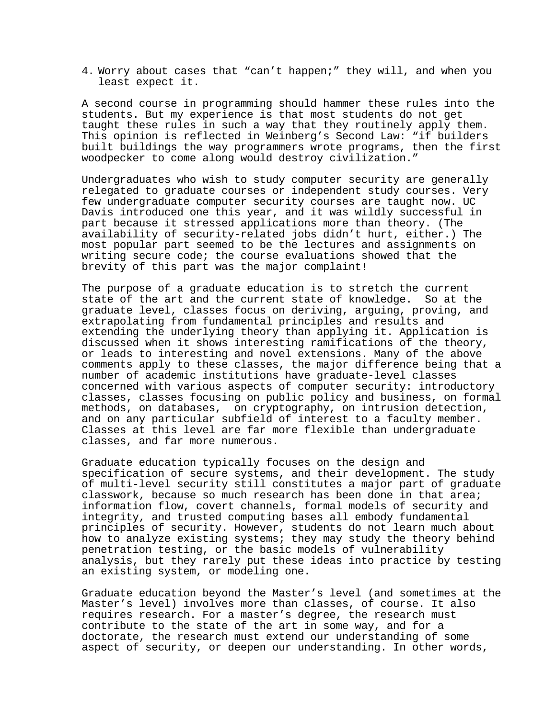4. Worry about cases that "can't happen;" they will, and when you least expect it.

A second course in programming should hammer these rules into the students. But my experience is that most students do not get taught these rules in such a way that they routinely apply them. This opinion is reflected in Weinberg's Second Law: "if builders built buildings the way programmers wrote programs, then the first woodpecker to come along would destroy civilization."

Undergraduates who wish to study computer security are generally relegated to graduate courses or independent study courses. Very few undergraduate computer security courses are taught now. UC Davis introduced one this year, and it was wildly successful in part because it stressed applications more than theory. (The availability of security-related jobs didn't hurt, either.) The most popular part seemed to be the lectures and assignments on writing secure code; the course evaluations showed that the brevity of this part was the major complaint!

The purpose of a graduate education is to stretch the current state of the art and the current state of knowledge. So at the graduate level, classes focus on deriving, arguing, proving, and extrapolating from fundamental principles and results and extending the underlying theory than applying it. Application is discussed when it shows interesting ramifications of the theory, or leads to interesting and novel extensions. Many of the above comments apply to these classes, the major difference being that a number of academic institutions have graduate-level classes concerned with various aspects of computer security: introductory classes, classes focusing on public policy and business, on formal methods, on databases, on cryptography, on intrusion detection, and on any particular subfield of interest to a faculty member. Classes at this level are far more flexible than undergraduate classes, and far more numerous.

Graduate education typically focuses on the design and specification of secure systems, and their development. The study of multi-level security still constitutes a major part of graduate classwork, because so much research has been done in that area; information flow, covert channels, formal models of security and integrity, and trusted computing bases all embody fundamental principles of security. However, students do not learn much about how to analyze existing systems; they may study the theory behind penetration testing, or the basic models of vulnerability analysis, but they rarely put these ideas into practice by testing an existing system, or modeling one.

Graduate education beyond the Master's level (and sometimes at the Master's level) involves more than classes, of course. It also requires research. For a master's degree, the research must contribute to the state of the art in some way, and for a doctorate, the research must extend our understanding of some aspect of security, or deepen our understanding. In other words,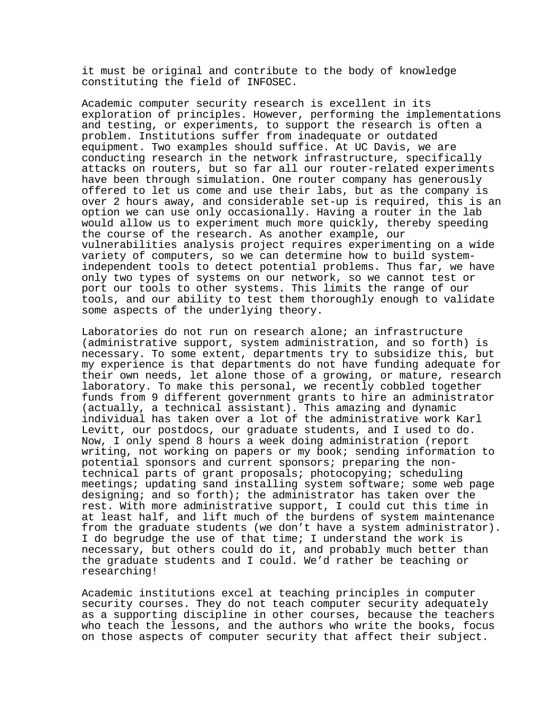it must be original and contribute to the body of knowledge constituting the field of INFOSEC.

Academic computer security research is excellent in its exploration of principles. However, performing the implementations and testing, or experiments, to support the research is often a problem. Institutions suffer from inadequate or outdated equipment. Two examples should suffice. At UC Davis, we are conducting research in the network infrastructure, specifically attacks on routers, but so far all our router-related experiments have been through simulation. One router company has generously offered to let us come and use their labs, but as the company is over 2 hours away, and considerable set-up is required, this is an option we can use only occasionally. Having a router in the lab would allow us to experiment much more quickly, thereby speeding the course of the research. As another example, our vulnerabilities analysis project requires experimenting on a wide variety of computers, so we can determine how to build systemindependent tools to detect potential problems. Thus far, we have only two types of systems on our network, so we cannot test or port our tools to other systems. This limits the range of our tools, and our ability to test them thoroughly enough to validate some aspects of the underlying theory.

Laboratories do not run on research alone; an infrastructure (administrative support, system administration, and so forth) is necessary. To some extent, departments try to subsidize this, but my experience is that departments do not have funding adequate for their own needs, let alone those of a growing, or mature, research laboratory. To make this personal, we recently cobbled together funds from 9 different government grants to hire an administrator (actually, a technical assistant). This amazing and dynamic individual has taken over a lot of the administrative work Karl Levitt, our postdocs, our graduate students, and I used to do. Now, I only spend 8 hours a week doing administration (report writing, not working on papers or my book; sending information to potential sponsors and current sponsors; preparing the nontechnical parts of grant proposals; photocopying; scheduling meetings; updating sand installing system software; some web page designing; and so forth); the administrator has taken over the rest. With more administrative support, I could cut this time in at least half, and lift much of the burdens of system maintenance from the graduate students (we don't have a system administrator). I do begrudge the use of that time; I understand the work is necessary, but others could do it, and probably much better than the graduate students and I could. We'd rather be teaching or researching!

Academic institutions excel at teaching principles in computer security courses. They do not teach computer security adequately as a supporting discipline in other courses, because the teachers who teach the lessons, and the authors who write the books, focus on those aspects of computer security that affect their subject.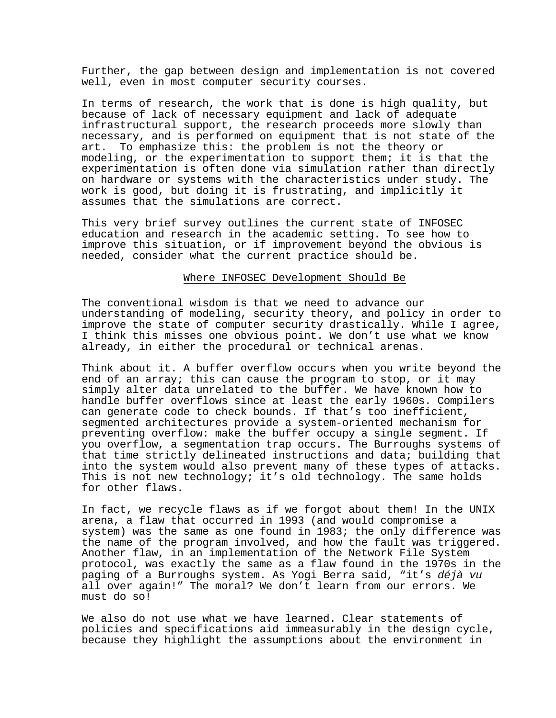Further, the gap between design and implementation is not covered well, even in most computer security courses.

In terms of research, the work that is done is high quality, but because of lack of necessary equipment and lack of adequate infrastructural support, the research proceeds more slowly than necessary, and is performed on equipment that is not state of the art. To emphasize this: the problem is not the theory or modeling, or the experimentation to support them; it is that the experimentation is often done via simulation rather than directly on hardware or systems with the characteristics under study. The work is good, but doing it is frustrating, and implicitly it assumes that the simulations are correct.

This very brief survey outlines the current state of INFOSEC education and research in the academic setting. To see how to improve this situation, or if improvement beyond the obvious is needed, consider what the current practice should be.

#### Where INFOSEC Development Should Be

The conventional wisdom is that we need to advance our understanding of modeling, security theory, and policy in order to improve the state of computer security drastically. While I agree, I think this misses one obvious point. We don't use what we know already, in either the procedural or technical arenas.

Think about it. A buffer overflow occurs when you write beyond the end of an array; this can cause the program to stop, or it may simply alter data unrelated to the buffer. We have known how to handle buffer overflows since at least the early 1960s. Compilers can generate code to check bounds. If that's too inefficient, segmented architectures provide a system-oriented mechanism for preventing overflow: make the buffer occupy a single segment. If you overflow, a segmentation trap occurs. The Burroughs systems of that time strictly delineated instructions and data; building that into the system would also prevent many of these types of attacks. This is not new technology; it's old technology. The same holds for other flaws.

In fact, we recycle flaws as if we forgot about them! In the UNIX arena, a flaw that occurred in 1993 (and would compromise a system) was the same as one found in 1983; the only difference was the name of the program involved, and how the fault was triggered. Another flaw, in an implementation of the Network File System protocol, was exactly the same as a flaw found in the 1970s in the paging of a Burroughs system. As Yogi Berra said, "it's déjà vu all over again!" The moral? We don't learn from our errors. We must do so!

We also do not use what we have learned. Clear statements of policies and specifications aid immeasurably in the design cycle, because they highlight the assumptions about the environment in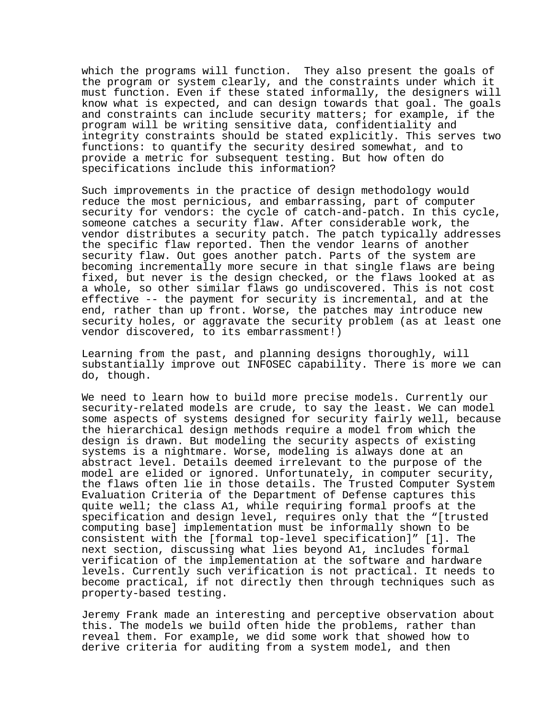which the programs will function. They also present the goals of the program or system clearly, and the constraints under which it must function. Even if these stated informally, the designers will know what is expected, and can design towards that goal. The goals and constraints can include security matters; for example, if the program will be writing sensitive data, confidentiality and integrity constraints should be stated explicitly. This serves two functions: to quantify the security desired somewhat, and to provide a metric for subsequent testing. But how often do specifications include this information?

Such improvements in the practice of design methodology would reduce the most pernicious, and embarrassing, part of computer security for vendors: the cycle of catch-and-patch. In this cycle, someone catches a security flaw. After considerable work, the vendor distributes a security patch. The patch typically addresses the specific flaw reported. Then the vendor learns of another security flaw. Out goes another patch. Parts of the system are becoming incrementally more secure in that single flaws are being fixed, but never is the design checked, or the flaws looked at as a whole, so other similar flaws go undiscovered. This is not cost effective -- the payment for security is incremental, and at the end, rather than up front. Worse, the patches may introduce new security holes, or aggravate the security problem (as at least one vendor discovered, to its embarrassment!)

Learning from the past, and planning designs thoroughly, will substantially improve out INFOSEC capability. There is more we can do, though.

We need to learn how to build more precise models. Currently our security-related models are crude, to say the least. We can model some aspects of systems designed for security fairly well, because the hierarchical design methods require a model from which the design is drawn. But modeling the security aspects of existing systems is a nightmare. Worse, modeling is always done at an abstract level. Details deemed irrelevant to the purpose of the model are elided or ignored. Unfortunately, in computer security, the flaws often lie in those details. The Trusted Computer System Evaluation Criteria of the Department of Defense captures this quite well; the class A1, while requiring formal proofs at the specification and design level, requires only that the "[trusted computing base] implementation must be informally shown to be consistent with the [formal top-level specification]" [1]. The next section, discussing what lies beyond A1, includes formal verification of the implementation at the software and hardware levels. Currently such verification is not practical. It needs to become practical, if not directly then through techniques such as property-based testing.

Jeremy Frank made an interesting and perceptive observation about this. The models we build often hide the problems, rather than reveal them. For example, we did some work that showed how to derive criteria for auditing from a system model, and then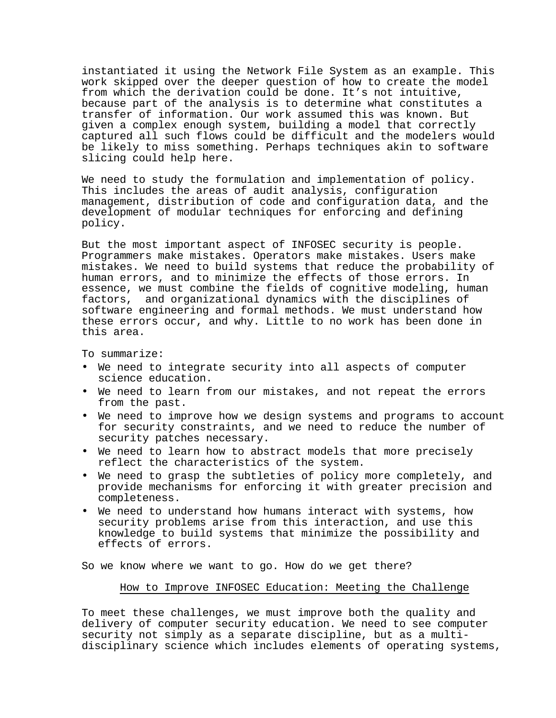instantiated it using the Network File System as an example. This work skipped over the deeper question of how to create the model from which the derivation could be done. It's not intuitive, because part of the analysis is to determine what constitutes a transfer of information. Our work assumed this was known. But given a complex enough system, building a model that correctly captured all such flows could be difficult and the modelers would be likely to miss something. Perhaps techniques akin to software slicing could help here.

We need to study the formulation and implementation of policy. This includes the areas of audit analysis, configuration management, distribution of code and configuration data, and the development of modular techniques for enforcing and defining policy.

But the most important aspect of INFOSEC security is people. Programmers make mistakes. Operators make mistakes. Users make mistakes. We need to build systems that reduce the probability of human errors, and to minimize the effects of those errors. In essence, we must combine the fields of cognitive modeling, human factors, and organizational dynamics with the disciplines of software engineering and formal methods. We must understand how these errors occur, and why. Little to no work has been done in this area.

To summarize:

- We need to integrate security into all aspects of computer science education.
- We need to learn from our mistakes, and not repeat the errors from the past.
- We need to improve how we design systems and programs to account for security constraints, and we need to reduce the number of security patches necessary.
- We need to learn how to abstract models that more precisely reflect the characteristics of the system.
- We need to grasp the subtleties of policy more completely, and provide mechanisms for enforcing it with greater precision and completeness.
- We need to understand how humans interact with systems, how security problems arise from this interaction, and use this knowledge to build systems that minimize the possibility and effects of errors.

So we know where we want to go. How do we get there?

### How to Improve INFOSEC Education: Meeting the Challenge

To meet these challenges, we must improve both the quality and delivery of computer security education. We need to see computer security not simply as a separate discipline, but as a multidisciplinary science which includes elements of operating systems,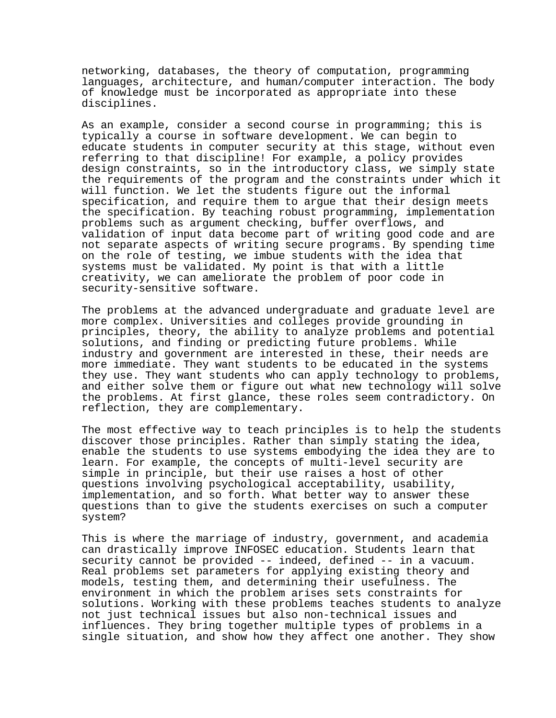networking, databases, the theory of computation, programming languages, architecture, and human/computer interaction. The body of knowledge must be incorporated as appropriate into these disciplines.

As an example, consider a second course in programming; this is typically a course in software development. We can begin to educate students in computer security at this stage, without even referring to that discipline! For example, a policy provides design constraints, so in the introductory class, we simply state the requirements of the program and the constraints under which it will function. We let the students figure out the informal specification, and require them to argue that their design meets the specification. By teaching robust programming, implementation problems such as argument checking, buffer overflows, and validation of input data become part of writing good code and are not separate aspects of writing secure programs. By spending time on the role of testing, we imbue students with the idea that systems must be validated. My point is that with a little creativity, we can ameliorate the problem of poor code in security-sensitive software.

The problems at the advanced undergraduate and graduate level are more complex. Universities and colleges provide grounding in principles, theory, the ability to analyze problems and potential solutions, and finding or predicting future problems. While industry and government are interested in these, their needs are more immediate. They want students to be educated in the systems they use. They want students who can apply technology to problems, and either solve them or figure out what new technology will solve the problems. At first glance, these roles seem contradictory. On reflection, they are complementary.

The most effective way to teach principles is to help the students discover those principles. Rather than simply stating the idea, enable the students to use systems embodying the idea they are to learn. For example, the concepts of multi-level security are simple in principle, but their use raises a host of other questions involving psychological acceptability, usability, implementation, and so forth. What better way to answer these questions than to give the students exercises on such a computer system?

This is where the marriage of industry, government, and academia can drastically improve INFOSEC education. Students learn that security cannot be provided -- indeed, defined -- in a vacuum. Real problems set parameters for applying existing theory and models, testing them, and determining their usefulness. The environment in which the problem arises sets constraints for solutions. Working with these problems teaches students to analyze not just technical issues but also non-technical issues and influences. They bring together multiple types of problems in a single situation, and show how they affect one another. They show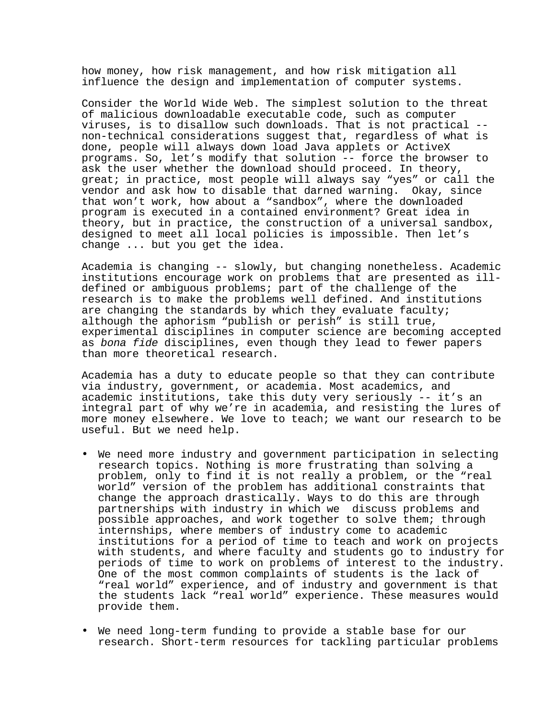how money, how risk management, and how risk mitigation all influence the design and implementation of computer systems.

Consider the World Wide Web. The simplest solution to the threat of malicious downloadable executable code, such as computer viruses, is to disallow such downloads. That is not practical - non-technical considerations suggest that, regardless of what is done, people will always down load Java applets or ActiveX programs. So, let's modify that solution -- force the browser to ask the user whether the download should proceed. In theory, great; in practice, most people will always say "yes" or call the vendor and ask how to disable that darned warning. Okay, since that won't work, how about a "sandbox", where the downloaded program is executed in a contained environment? Great idea in theory, but in practice, the construction of a universal sandbox, designed to meet all local policies is impossible. Then let's change ... but you get the idea.

Academia is changing -- slowly, but changing nonetheless. Academic institutions encourage work on problems that are presented as illdefined or ambiguous problems; part of the challenge of the research is to make the problems well defined. And institutions are changing the standards by which they evaluate faculty; although the aphorism "publish or perish" is still true, experimental disciplines in computer science are becoming accepted as bona fide disciplines, even though they lead to fewer papers than more theoretical research.

Academia has a duty to educate people so that they can contribute via industry, government, or academia. Most academics, and academic institutions, take this duty very seriously -- it's an integral part of why we're in academia, and resisting the lures of more money elsewhere. We love to teach; we want our research to be useful. But we need help.

- We need more industry and government participation in selecting research topics. Nothing is more frustrating than solving a problem, only to find it is not really a problem, or the "real world" version of the problem has additional constraints that change the approach drastically. Ways to do this are through partnerships with industry in which we discuss problems and possible approaches, and work together to solve them; through internships, where members of industry come to academic institutions for a period of time to teach and work on projects with students, and where faculty and students go to industry for periods of time to work on problems of interest to the industry. One of the most common complaints of students is the lack of "real world" experience, and of industry and government is that the students lack "real world" experience. These measures would provide them.
- We need long-term funding to provide a stable base for our research. Short-term resources for tackling particular problems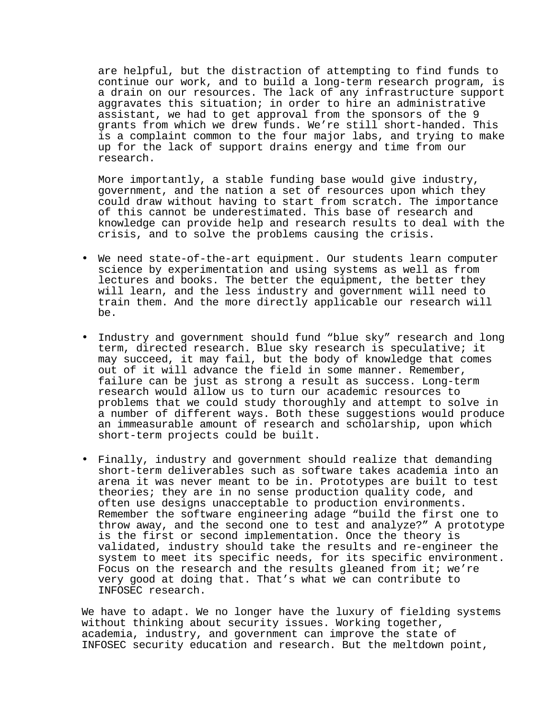are helpful, but the distraction of attempting to find funds to continue our work, and to build a long-term research program, is a drain on our resources. The lack of any infrastructure support aggravates this situation; in order to hire an administrative assistant, we had to get approval from the sponsors of the 9 grants from which we drew funds. We're still short-handed. This is a complaint common to the four major labs, and trying to make up for the lack of support drains energy and time from our research.

More importantly, a stable funding base would give industry, government, and the nation a set of resources upon which they could draw without having to start from scratch. The importance of this cannot be underestimated. This base of research and knowledge can provide help and research results to deal with the crisis, and to solve the problems causing the crisis.

- We need state-of-the-art equipment. Our students learn computer science by experimentation and using systems as well as from lectures and books. The better the equipment, the better they will learn, and the less industry and government will need to train them. And the more directly applicable our research will be.
- Industry and government should fund "blue sky" research and long term, directed research. Blue sky research is speculative; it may succeed, it may fail, but the body of knowledge that comes out of it will advance the field in some manner. Remember, failure can be just as strong a result as success. Long-term research would allow us to turn our academic resources to problems that we could study thoroughly and attempt to solve in a number of different ways. Both these suggestions would produce an immeasurable amount of research and scholarship, upon which short-term projects could be built.
- Finally, industry and government should realize that demanding short-term deliverables such as software takes academia into an arena it was never meant to be in. Prototypes are built to test theories; they are in no sense production quality code, and often use designs unacceptable to production environments. Remember the software engineering adage "build the first one to throw away, and the second one to test and analyze?" A prototype is the first or second implementation. Once the theory is validated, industry should take the results and re-engineer the system to meet its specific needs, for its specific environment. Focus on the research and the results gleaned from it; we're very good at doing that. That's what we can contribute to INFOSEC research.

We have to adapt. We no longer have the luxury of fielding systems without thinking about security issues. Working together, academia, industry, and government can improve the state of INFOSEC security education and research. But the meltdown point,